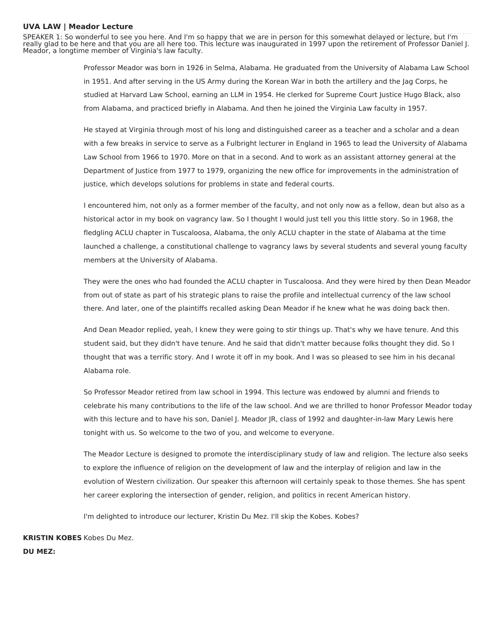## **UVA LAW | Meador Lecture**

SPEAKER 1: So wonderful to see you here. And I'm so happy that we are in person for this somewhat delayed or lecture, but I'm really glad to be here and that you are all here too. This lecture was inaugurated in 1997 upon the retirement of Professor Daniel J. Meador, a longtime member of Virginia's law faculty.

> Professor Meador was born in 1926 in Selma, Alabama. He graduated from the University of Alabama Law School in 1951. And after serving in the US Army during the Korean War in both the artillery and the Jag Corps, he studied at Harvard Law School, earning an LLM in 1954. He clerked for Supreme Court Justice Hugo Black, also from Alabama, and practiced briefly in Alabama. And then he joined the Virginia Law faculty in 1957.

> He stayed at Virginia through most of his long and distinguished career as a teacher and a scholar and a dean with a few breaks in service to serve as a Fulbright lecturer in England in 1965 to lead the University of Alabama Law School from 1966 to 1970. More on that in a second. And to work as an assistant attorney general at the Department of Justice from 1977 to 1979, organizing the new office for improvements in the administration of justice, which develops solutions for problems in state and federal courts.

> I encountered him, not only as a former member of the faculty, and not only now as a fellow, dean but also as a historical actor in my book on vagrancy law. So I thought I would just tell you this little story. So in 1968, the fledgling ACLU chapter in Tuscaloosa, Alabama, the only ACLU chapter in the state of Alabama at the time launched a challenge, a constitutional challenge to vagrancy laws by several students and several young faculty members at the University of Alabama.

> They were the ones who had founded the ACLU chapter in Tuscaloosa. And they were hired by then Dean Meador from out of state as part of his strategic plans to raise the profile and intellectual currency of the law school there. And later, one of the plaintiffs recalled asking Dean Meador if he knew what he was doing back then.

And Dean Meador replied, yeah, I knew they were going to stir things up. That's why we have tenure. And this student said, but they didn't have tenure. And he said that didn't matter because folks thought they did. So I thought that was a terrific story. And I wrote it off in my book. And I was so pleased to see him in his decanal Alabama role.

So Professor Meador retired from law school in 1994. This lecture was endowed by alumni and friends to celebrate his many contributions to the life of the law school. And we are thrilled to honor Professor Meador today with this lecture and to have his son, Daniel J. Meador JR, class of 1992 and daughter-in-law Mary Lewis here tonight with us. So welcome to the two of you, and welcome to everyone.

The Meador Lecture is designed to promote the interdisciplinary study of law and religion. The lecture also seeks to explore the influence of religion on the development of law and the interplay of religion and law in the evolution of Western civilization. Our speaker this afternoon will certainly speak to those themes. She has spent her career exploring the intersection of gender, religion, and politics in recent American history.

I'm delighted to introduce our lecturer, Kristin Du Mez. I'll skip the Kobes. Kobes?

**KRISTIN KOBES** Kobes Du Mez.**DU MEZ:**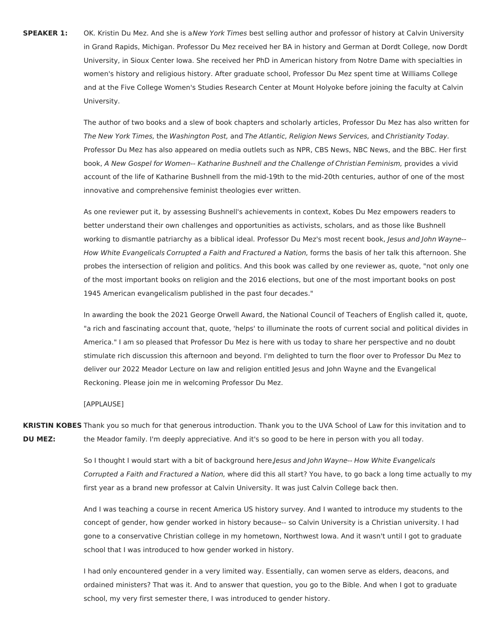**SPEAKER 1:** OK. Kristin Du Mez. And she is aNew York Times best selling author and professor of history at Calvin University in Grand Rapids, Michigan. Professor Du Mez received her BA in history and German at Dordt College, now Dordt University, in Sioux Center Iowa. She received her PhD in American history from Notre Dame with specialties in women's history and religious history. After graduate school, Professor Du Mez spent time at Williams College and at the Five College Women's Studies Research Center at Mount Holyoke before joining the faculty at Calvin University.

> The author of two books and a slew of book chapters and scholarly articles, Professor Du Mez has also written for The New York Times, the Washington Post, and The Atlantic, Religion News Services, and Christianity Today. Professor Du Mez has also appeared on media outlets such as NPR, CBS News, NBC News, and the BBC. Her first book, A New Gospel for Women-- Katharine Bushnell and the Challenge of Christian Feminism, provides a vivid account of the life of Katharine Bushnell from the mid-19th to the mid-20th centuries, author of one of the most innovative and comprehensive feminist theologies ever written.

> As one reviewer put it, by assessing Bushnell's achievements in context, Kobes Du Mez empowers readers to better understand their own challenges and opportunities as activists, scholars, and as those like Bushnell working to dismantle patriarchy as a biblical ideal. Professor Du Mez's most recent book, Jesus and John Wayne--How White Evangelicals Corrupted a Faith and Fractured a Nation, forms the basis of her talk this afternoon. She probes the intersection of religion and politics. And this book was called by one reviewer as, quote, "not only one of the most important books on religion and the 2016 elections, but one of the most important books on post 1945 American evangelicalism published in the past four decades."

> In awarding the book the 2021 George Orwell Award, the National Council of Teachers of English called it, quote, "a rich and fascinating account that, quote, 'helps' to illuminate the roots of current social and political divides in America." I am so pleased that Professor Du Mez is here with us today to share her perspective and no doubt stimulate rich discussion this afternoon and beyond. I'm delighted to turn the floor over to Professor Du Mez to deliver our 2022 Meador Lecture on law and religion entitled Jesus and John Wayne and the Evangelical Reckoning. Please join me in welcoming Professor Du Mez.

## [APPLAUSE]

**KRISTIN KOBES** Thank you so much for that generous introduction. Thank you to the UVA School of Law for this invitation and to **DU MEZ:** the Meador family. I'm deeply appreciative. And it's so good to be here in person with you all today.

> So I thought I would start with a bit of background here.Jesus and John Wayne-- How White Evangelicals Corrupted a Faith and Fractured a Nation, where did this all start? You have, to go back a long time actually to my first year as a brand new professor at Calvin University. It was just Calvin College back then.

And I was teaching a course in recent America US history survey. And I wanted to introduce my students to the concept of gender, how gender worked in history because-- so Calvin University is a Christian university. I had gone to a conservative Christian college in my hometown, Northwest Iowa. And it wasn't until I got to graduate school that I was introduced to how gender worked in history.

I had only encountered gender in a very limited way. Essentially, can women serve as elders, deacons, and ordained ministers? That was it. And to answer that question, you go to the Bible. And when I got to graduate school, my very first semester there, I was introduced to gender history.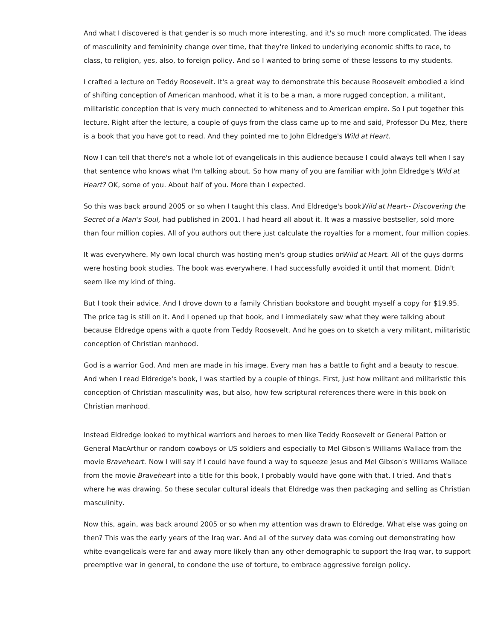And what I discovered is that gender is so much more interesting, and it's so much more complicated. The ideas of masculinity and femininity change over time, that they're linked to underlying economic shifts to race, to class, to religion, yes, also, to foreign policy. And so I wanted to bring some of these lessons to my students.

I crafted a lecture on Teddy Roosevelt. It's a great way to demonstrate this because Roosevelt embodied a kind of shifting conception of American manhood, what it is to be a man, a more rugged conception, a militant, militaristic conception that is very much connected to whiteness and to American empire. So I put together this lecture. Right after the lecture, a couple of guys from the class came up to me and said, Professor Du Mez, there is a book that you have got to read. And they pointed me to John Eldredge's Wild at Heart.

Now I can tell that there's not a whole lot of evangelicals in this audience because I could always tell when I say that sentence who knows what I'm talking about. So how many of you are familiar with John Eldredge's Wild at Heart? OK, some of you. About half of you. More than I expected.

So this was back around 2005 or so when I taught this class. And Eldredge's book Wild at Heart-- Discovering the Secret of a Man's Soul, had published in 2001. I had heard all about it. It was a massive bestseller, sold more than four million copies. All of you authors out there just calculate the royalties for a moment, four million copies.

It was everywhere. My own local church was hosting men's group studies onWild at Heart. All of the guys dorms were hosting book studies. The book was everywhere. I had successfully avoided it until that moment. Didn't seem like my kind of thing.

But I took their advice. And I drove down to a family Christian bookstore and bought myself a copy for \$19.95. The price tag is still on it. And I opened up that book, and I immediately saw what they were talking about because Eldredge opens with a quote from Teddy Roosevelt. And he goes on to sketch a very militant, militaristic conception of Christian manhood.

God is a warrior God. And men are made in his image. Every man has a battle to fight and a beauty to rescue. And when I read Eldredge's book, I was startled by a couple of things. First, just how militant and militaristic this conception of Christian masculinity was, but also, how few scriptural references there were in this book on Christian manhood.

Instead Eldredge looked to mythical warriors and heroes to men like Teddy Roosevelt or General Patton or General MacArthur or random cowboys or US soldiers and especially to Mel Gibson's Williams Wallace from the movie Braveheart. Now I will say if I could have found a way to squeeze Jesus and Mel Gibson's Williams Wallace from the movie Braveheart into a title for this book, I probably would have gone with that. I tried. And that's where he was drawing. So these secular cultural ideals that Eldredge was then packaging and selling as Christian masculinity.

Now this, again, was back around 2005 or so when my attention was drawn to Eldredge. What else was going on then? This was the early years of the Iraq war. And all of the survey data was coming out demonstrating how white evangelicals were far and away more likely than any other demographic to support the Iraq war, to support preemptive war in general, to condone the use of torture, to embrace aggressive foreign policy.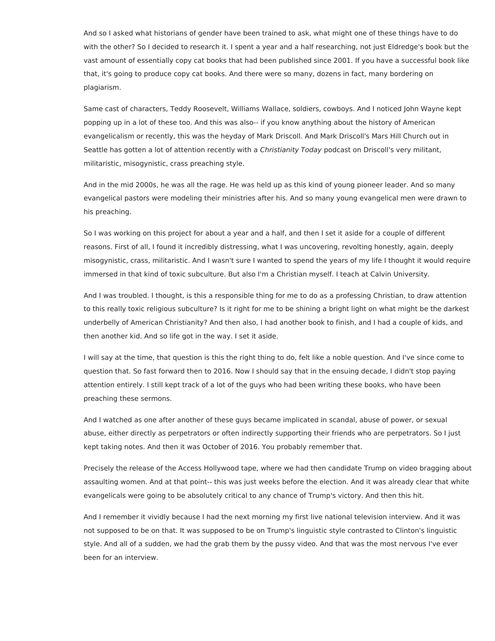And so I asked what historians of gender have been trained to ask, what might one of these things have to do with the other? So I decided to research it. I spent a year and a half researching, not just Eldredge's book but the vast amount of essentially copy cat books that had been published since 2001. If you have a successful book like that, it's going to produce copy cat books. And there were so many, dozens in fact, many bordering on plagiarism.

Same cast of characters, Teddy Roosevelt, Williams Wallace, soldiers, cowboys. And I noticed John Wayne kept popping up in a lot of these too. And this was also-- if you know anything about the history of American evangelicalism or recently, this was the heyday of Mark Driscoll. And Mark Driscoll's Mars Hill Church out in Seattle has gotten a lot of attention recently with a Christianity Today podcast on Driscoll's very militant, militaristic, misogynistic, crass preaching style.

And in the mid 2000s, he was all the rage. He was held up as this kind of young pioneer leader. And so many evangelical pastors were modeling their ministries after his. And so many young evangelical men were drawn to his preaching.

So I was working on this project for about a year and a half, and then I set it aside for a couple of different reasons. First of all, I found it incredibly distressing, what I was uncovering, revolting honestly, again, deeply misogynistic, crass, militaristic. And I wasn't sure I wanted to spend the years of my life I thought it would require immersed in that kind of toxic subculture. But also I'm a Christian myself. I teach at Calvin University.

And I was troubled. I thought, is this a responsible thing for me to do as a professing Christian, to draw attention to this really toxic religious subculture? Is it right for me to be shining a bright light on what might be the darkest underbelly of American Christianity? And then also, I had another book to finish, and I had a couple of kids, and then another kid. And so life got in the way. I set it aside.

I will say at the time, that question is this the right thing to do, felt like a noble question. And I've since come to question that. So fast forward then to 2016. Now I should say that in the ensuing decade, I didn't stop paying attention entirely. I still kept track of a lot of the guys who had been writing these books, who have been preaching these sermons.

And I watched as one after another of these guys became implicated in scandal, abuse of power, or sexual abuse, either directly as perpetrators or often indirectly supporting their friends who are perpetrators. So I just kept taking notes. And then it was October of 2016. You probably remember that.

Precisely the release of the Access Hollywood tape, where we had then candidate Trump on video bragging about assaulting women. And at that point-- this was just weeks before the election. And it was already clear that white evangelicals were going to be absolutely critical to any chance of Trump's victory. And then this hit.

And I remember it vividly because I had the next morning my first live national television interview. And it was not supposed to be on that. It was supposed to be on Trump's linguistic style contrasted to Clinton's linguistic style. And all of a sudden, we had the grab them by the pussy video. And that was the most nervous I've ever been for an interview.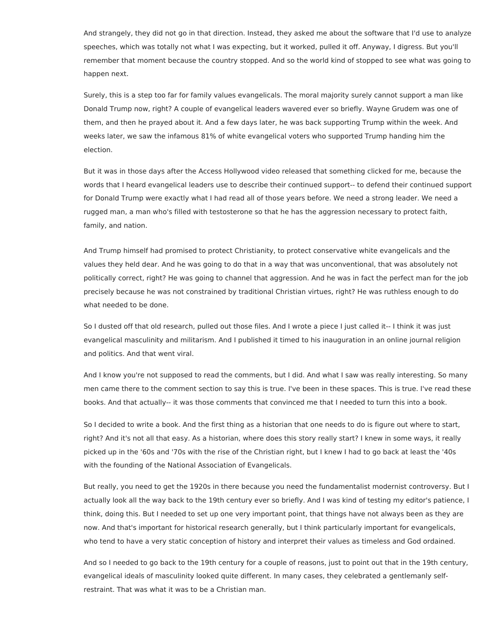And strangely, they did not go in that direction. Instead, they asked me about the software that I'd use to analyze speeches, which was totally not what I was expecting, but it worked, pulled it off. Anyway, I digress. But you'll remember that moment because the country stopped. And so the world kind of stopped to see what was going to happen next.

Surely, this is a step too far for family values evangelicals. The moral majority surely cannot support a man like Donald Trump now, right? A couple of evangelical leaders wavered ever so briefly. Wayne Grudem was one of them, and then he prayed about it. And a few days later, he was back supporting Trump within the week. And weeks later, we saw the infamous 81% of white evangelical voters who supported Trump handing him the election.

But it was in those days after the Access Hollywood video released that something clicked for me, because the words that I heard evangelical leaders use to describe their continued support-- to defend their continued support for Donald Trump were exactly what I had read all of those years before. We need a strong leader. We need a rugged man, a man who's filled with testosterone so that he has the aggression necessary to protect faith, family, and nation.

And Trump himself had promised to protect Christianity, to protect conservative white evangelicals and the values they held dear. And he was going to do that in a way that was unconventional, that was absolutely not politically correct, right? He was going to channel that aggression. And he was in fact the perfect man for the job precisely because he was not constrained by traditional Christian virtues, right? He was ruthless enough to do what needed to be done.

So I dusted off that old research, pulled out those files. And I wrote a piece I just called it-- I think it was just evangelical masculinity and militarism. And I published it timed to his inauguration in an online journal religion and politics. And that went viral.

And I know you're not supposed to read the comments, but I did. And what I saw was really interesting. So many men came there to the comment section to say this is true. I've been in these spaces. This is true. I've read these books. And that actually-- it was those comments that convinced me that I needed to turn this into a book.

So I decided to write a book. And the first thing as a historian that one needs to do is figure out where to start, right? And it's not all that easy. As a historian, where does this story really start? I knew in some ways, it really picked up in the '60s and '70s with the rise of the Christian right, but I knew I had to go back at least the '40s with the founding of the National Association of Evangelicals.

But really, you need to get the 1920s in there because you need the fundamentalist modernist controversy. But I actually look all the way back to the 19th century ever so briefly. And I was kind of testing my editor's patience, I think, doing this. But I needed to set up one very important point, that things have not always been as they are now. And that's important for historical research generally, but I think particularly important for evangelicals, who tend to have a very static conception of history and interpret their values as timeless and God ordained.

And so I needed to go back to the 19th century for a couple of reasons, just to point out that in the 19th century, evangelical ideals of masculinity looked quite different. In many cases, they celebrated a gentlemanly selfrestraint. That was what it was to be a Christian man.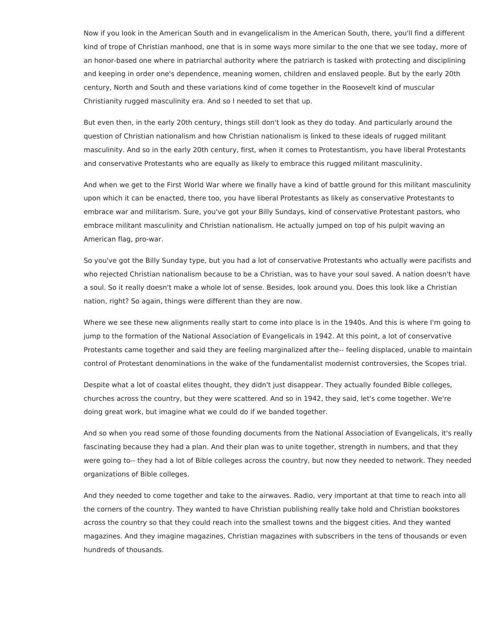Now if you look in the American South and in evangelicalism in the American South, there, you'll find a different kind of trope of Christian manhood, one that is in some ways more similar to the one that we see today, more of an honor-based one where in patriarchal authority where the patriarch is tasked with protecting and disciplining and keeping in order one's dependence, meaning women, children and enslaved people. But by the early 20th century, North and South and these variations kind of come together in the Roosevelt kind of muscular Christianity rugged masculinity era. And so I needed to set that up.

But even then, in the early 20th century, things still don't look as they do today. And particularly around the question of Christian nationalism and how Christian nationalism is linked to these ideals of rugged militant masculinity. And so in the early 20th century, first, when it comes to Protestantism, you have liberal Protestants and conservative Protestants who are equally as likely to embrace this rugged militant masculinity.

And when we get to the First World War where we finally have a kind of battle ground for this militant masculinity upon which it can be enacted, there too, you have liberal Protestants as likely as conservative Protestants to embrace war and militarism. Sure, you've got your Billy Sundays, kind of conservative Protestant pastors, who embrace militant masculinity and Christian nationalism. He actually jumped on top of his pulpit waving an American flag, pro-war.

So you've got the Billy Sunday type, but you had a lot of conservative Protestants who actually were pacifists and who rejected Christian nationalism because to be a Christian, was to have your soul saved. A nation doesn't have a soul. So it really doesn't make a whole lot of sense. Besides, look around you. Does this look like a Christian nation, right? So again, things were different than they are now.

Where we see these new alignments really start to come into place is in the 1940s. And this is where I'm going to jump to the formation of the National Association of Evangelicals in 1942. At this point, a lot of conservative Protestants came together and said they are feeling marginalized after the-- feeling displaced, unable to maintain control of Protestant denominations in the wake of the fundamentalist modernist controversies, the Scopes trial.

Despite what a lot of coastal elites thought, they didn't just disappear. They actually founded Bible colleges, churches across the country, but they were scattered. And so in 1942, they said, let's come together. We're doing great work, but imagine what we could do if we banded together.

And so when you read some of those founding documents from the National Association of Evangelicals, it's really fascinating because they had a plan. And their plan was to unite together, strength in numbers, and that they were going to-- they had a lot of Bible colleges across the country, but now they needed to network. They needed organizations of Bible colleges.

And they needed to come together and take to the airwaves. Radio, very important at that time to reach into all the corners of the country. They wanted to have Christian publishing really take hold and Christian bookstores across the country so that they could reach into the smallest towns and the biggest cities. And they wanted magazines. And they imagine magazines, Christian magazines with subscribers in the tens of thousands or even hundreds of thousands.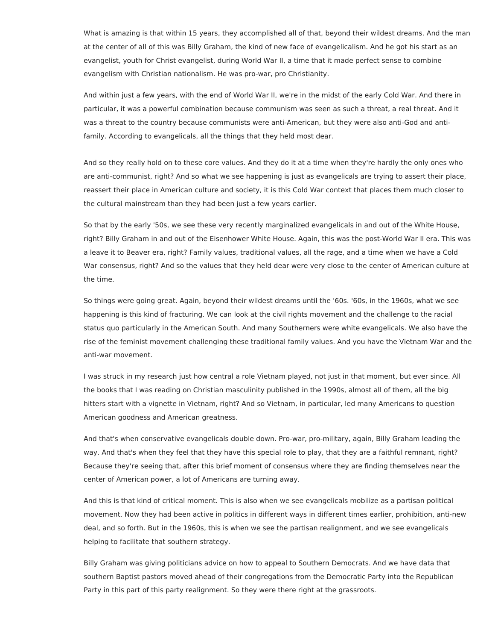What is amazing is that within 15 years, they accomplished all of that, beyond their wildest dreams. And the man at the center of all of this was Billy Graham, the kind of new face of evangelicalism. And he got his start as an evangelist, youth for Christ evangelist, during World War II, a time that it made perfect sense to combine evangelism with Christian nationalism. He was pro-war, pro Christianity.

And within just a few years, with the end of World War II, we're in the midst of the early Cold War. And there in particular, it was a powerful combination because communism was seen as such a threat, a real threat. And it was a threat to the country because communists were anti-American, but they were also anti-God and antifamily. According to evangelicals, all the things that they held most dear.

And so they really hold on to these core values. And they do it at a time when they're hardly the only ones who are anti-communist, right? And so what we see happening is just as evangelicals are trying to assert their place, reassert their place in American culture and society, it is this Cold War context that places them much closer to the cultural mainstream than they had been just a few years earlier.

So that by the early '50s, we see these very recently marginalized evangelicals in and out of the White House, right? Billy Graham in and out of the Eisenhower White House. Again, this was the post-World War II era. This was a leave it to Beaver era, right? Family values, traditional values, all the rage, and a time when we have a Cold War consensus, right? And so the values that they held dear were very close to the center of American culture at the time.

So things were going great. Again, beyond their wildest dreams until the '60s. '60s, in the 1960s, what we see happening is this kind of fracturing. We can look at the civil rights movement and the challenge to the racial status quo particularly in the American South. And many Southerners were white evangelicals. We also have the rise of the feminist movement challenging these traditional family values. And you have the Vietnam War and the anti-war movement.

I was struck in my research just how central a role Vietnam played, not just in that moment, but ever since. All the books that I was reading on Christian masculinity published in the 1990s, almost all of them, all the big hitters start with a vignette in Vietnam, right? And so Vietnam, in particular, led many Americans to question American goodness and American greatness.

And that's when conservative evangelicals double down. Pro-war, pro-military, again, Billy Graham leading the way. And that's when they feel that they have this special role to play, that they are a faithful remnant, right? Because they're seeing that, after this brief moment of consensus where they are finding themselves near the center of American power, a lot of Americans are turning away.

And this is that kind of critical moment. This is also when we see evangelicals mobilize as a partisan political movement. Now they had been active in politics in different ways in different times earlier, prohibition, anti-new deal, and so forth. But in the 1960s, this is when we see the partisan realignment, and we see evangelicals helping to facilitate that southern strategy.

Billy Graham was giving politicians advice on how to appeal to Southern Democrats. And we have data that southern Baptist pastors moved ahead of their congregations from the Democratic Party into the Republican Party in this part of this party realignment. So they were there right at the grassroots.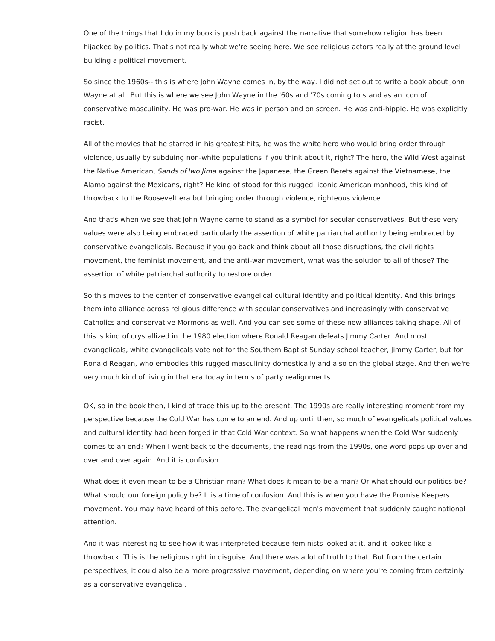One of the things that I do in my book is push back against the narrative that somehow religion has been hijacked by politics. That's not really what we're seeing here. We see religious actors really at the ground level building a political movement.

So since the 1960s-- this is where John Wayne comes in, by the way. I did not set out to write a book about John Wayne at all. But this is where we see John Wayne in the '60s and '70s coming to stand as an icon of conservative masculinity. He was pro-war. He was in person and on screen. He was anti-hippie. He was explicitly racist.

All of the movies that he starred in his greatest hits, he was the white hero who would bring order through violence, usually by subduing non-white populations if you think about it, right? The hero, the Wild West against the Native American, Sands of Iwo Jima against the Japanese, the Green Berets against the Vietnamese, the Alamo against the Mexicans, right? He kind of stood for this rugged, iconic American manhood, this kind of throwback to the Roosevelt era but bringing order through violence, righteous violence.

And that's when we see that John Wayne came to stand as a symbol for secular conservatives. But these very values were also being embraced particularly the assertion of white patriarchal authority being embraced by conservative evangelicals. Because if you go back and think about all those disruptions, the civil rights movement, the feminist movement, and the anti-war movement, what was the solution to all of those? The assertion of white patriarchal authority to restore order.

So this moves to the center of conservative evangelical cultural identity and political identity. And this brings them into alliance across religious difference with secular conservatives and increasingly with conservative Catholics and conservative Mormons as well. And you can see some of these new alliances taking shape. All of this is kind of crystallized in the 1980 election where Ronald Reagan defeats Jimmy Carter. And most evangelicals, white evangelicals vote not for the Southern Baptist Sunday school teacher, Jimmy Carter, but for Ronald Reagan, who embodies this rugged masculinity domestically and also on the global stage. And then we're very much kind of living in that era today in terms of party realignments.

OK, so in the book then, I kind of trace this up to the present. The 1990s are really interesting moment from my perspective because the Cold War has come to an end. And up until then, so much of evangelicals political values and cultural identity had been forged in that Cold War context. So what happens when the Cold War suddenly comes to an end? When I went back to the documents, the readings from the 1990s, one word pops up over and over and over again. And it is confusion.

What does it even mean to be a Christian man? What does it mean to be a man? Or what should our politics be? What should our foreign policy be? It is a time of confusion. And this is when you have the Promise Keepers movement. You may have heard of this before. The evangelical men's movement that suddenly caught national attention.

And it was interesting to see how it was interpreted because feminists looked at it, and it looked like a throwback. This is the religious right in disguise. And there was a lot of truth to that. But from the certain perspectives, it could also be a more progressive movement, depending on where you're coming from certainly as a conservative evangelical.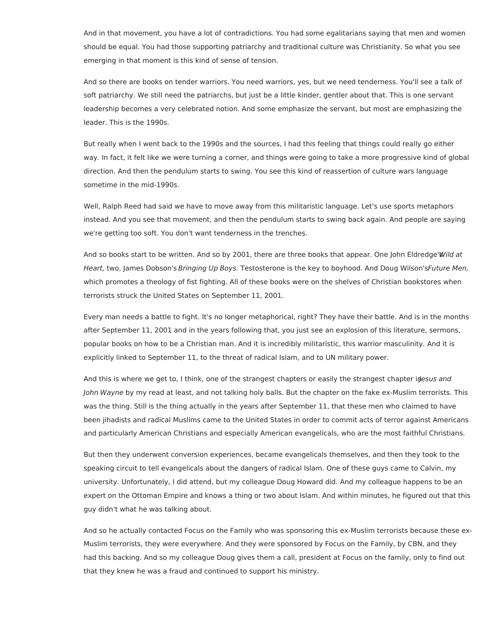And in that movement, you have a lot of contradictions. You had some egalitarians saying that men and women should be equal. You had those supporting patriarchy and traditional culture was Christianity. So what you see emerging in that moment is this kind of sense of tension.

And so there are books on tender warriors. You need warriors, yes, but we need tenderness. You'll see a talk of soft patriarchy. We still need the patriarchs, but just be a little kinder, gentler about that. This is one servant leadership becomes a very celebrated notion. And some emphasize the servant, but most are emphasizing the leader. This is the 1990s.

But really when I went back to the 1990s and the sources, I had this feeling that things could really go either way. In fact, it felt like we were turning a corner, and things were going to take a more progressive kind of global direction. And then the pendulum starts to swing. You see this kind of reassertion of culture wars language sometime in the mid-1990s.

Well, Ralph Reed had said we have to move away from this militaristic language. Let's use sports metaphors instead. And you see that movement, and then the pendulum starts to swing back again. And people are saying we're getting too soft. You don't want tenderness in the trenches.

And so books start to be written. And so by 2001, there are three books that appear. One John Eldredge'Wild at Heart, two, James Dobson's Bringing Up Boys. Testosterone is the key to boyhood. And Doug Wilson's Future Men, which promotes a theology of fist fighting. All of these books were on the shelves of Christian bookstores when terrorists struck the United States on September 11, 2001.

Every man needs a battle to fight. It's no longer metaphorical, right? They have their battle. And is in the months after September 11, 2001 and in the years following that, you just see an explosion of this literature, sermons, popular books on how to be a Christian man. And it is incredibly militaristic, this warrior masculinity. And it is explicitly linked to September 11, to the threat of radical Islam, and to UN military power.

And this is where we get to, I think, one of the strangest chapters or easily the strangest chapter inesus and John Wayne by my read at least, and not talking holy balls. But the chapter on the fake ex-Muslim terrorists. This was the thing. Still is the thing actually in the years after September 11, that these men who claimed to have been jihadists and radical Muslims came to the United States in order to commit acts of terror against Americans and particularly American Christians and especially American evangelicals, who are the most faithful Christians.

But then they underwent conversion experiences, became evangelicals themselves, and then they took to the speaking circuit to tell evangelicals about the dangers of radical Islam. One of these guys came to Calvin, my university. Unfortunately, I did attend, but my colleague Doug Howard did. And my colleague happens to be an expert on the Ottoman Empire and knows a thing or two about Islam. And within minutes, he figured out that this guy didn't what he was talking about.

And so he actually contacted Focus on the Family who was sponsoring this ex-Muslim terrorists because these ex-Muslim terrorists, they were everywhere. And they were sponsored by Focus on the Family, by CBN, and they had this backing. And so my colleague Doug gives them a call, president at Focus on the family, only to find out that they knew he was a fraud and continued to support his ministry.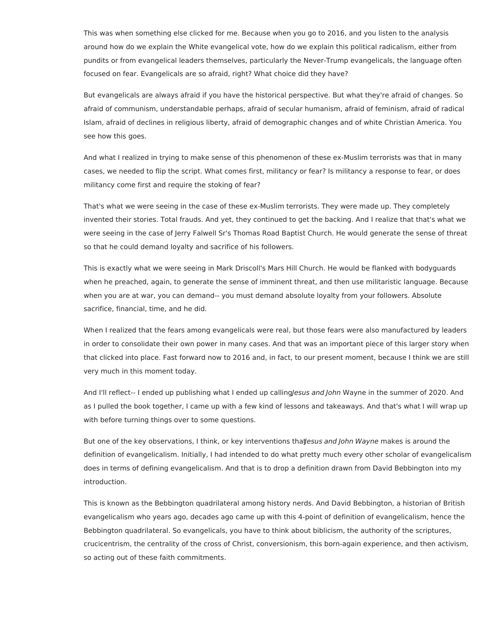This was when something else clicked for me. Because when you go to 2016, and you listen to the analysis around how do we explain the White evangelical vote, how do we explain this political radicalism, either from pundits or from evangelical leaders themselves, particularly the Never-Trump evangelicals, the language often focused on fear. Evangelicals are so afraid, right? What choice did they have?

But evangelicals are always afraid if you have the historical perspective. But what they're afraid of changes. So afraid of communism, understandable perhaps, afraid of secular humanism, afraid of feminism, afraid of radical Islam, afraid of declines in religious liberty, afraid of demographic changes and of white Christian America. You see how this goes.

And what I realized in trying to make sense of this phenomenon of these ex-Muslim terrorists was that in many cases, we needed to flip the script. What comes first, militancy or fear? Is militancy a response to fear, or does militancy come first and require the stoking of fear?

That's what we were seeing in the case of these ex-Muslim terrorists. They were made up. They completely invented their stories. Total frauds. And yet, they continued to get the backing. And I realize that that's what we were seeing in the case of Jerry Falwell Sr's Thomas Road Baptist Church. He would generate the sense of threat so that he could demand loyalty and sacrifice of his followers.

This is exactly what we were seeing in Mark Driscoll's Mars Hill Church. He would be flanked with bodyguards when he preached, again, to generate the sense of imminent threat, and then use militaristic language. Because when you are at war, you can demand-- you must demand absolute loyalty from your followers. Absolute sacrifice, financial, time, and he did.

When I realized that the fears among evangelicals were real, but those fears were also manufactured by leaders in order to consolidate their own power in many cases. And that was an important piece of this larger story when that clicked into place. Fast forward now to 2016 and, in fact, to our present moment, because I think we are still very much in this moment today.

And I'll reflect-- I ended up publishing what I ended up calling/esus and John Wayne in the summer of 2020. And as I pulled the book together, I came up with a few kind of lessons and takeaways. And that's what I will wrap up with before turning things over to some questions.

But one of the key observations, I think, or key interventions thatesus and John Wayne makes is around the definition of evangelicalism. Initially, I had intended to do what pretty much every other scholar of evangelicalism does in terms of defining evangelicalism. And that is to drop a definition drawn from David Bebbington into my introduction.

This is known as the Bebbington quadrilateral among history nerds. And David Bebbington, a historian of British evangelicalism who years ago, decades ago came up with this 4-point of definition of evangelicalism, hence the Bebbington quadrilateral. So evangelicals, you have to think about biblicism, the authority of the scriptures, crucicentrism, the centrality of the cross of Christ, conversionism, this born-again experience, and then activism, so acting out of these faith commitments.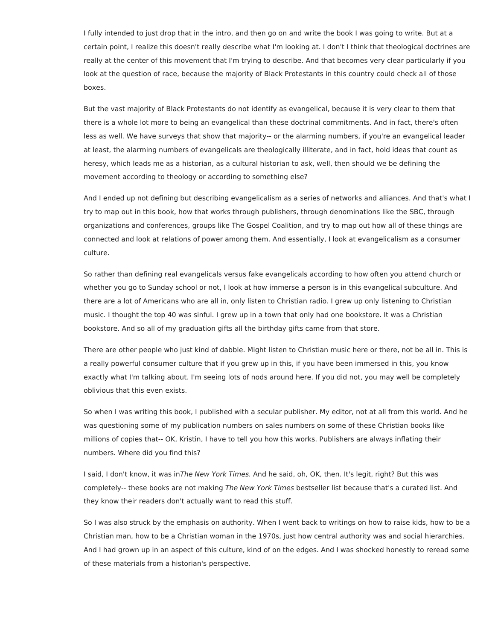I fully intended to just drop that in the intro, and then go on and write the book I was going to write. But at a certain point, I realize this doesn't really describe what I'm looking at. I don't I think that theological doctrines are really at the center of this movement that I'm trying to describe. And that becomes very clear particularly if you look at the question of race, because the majority of Black Protestants in this country could check all of those boxes.

But the vast majority of Black Protestants do not identify as evangelical, because it is very clear to them that there is a whole lot more to being an evangelical than these doctrinal commitments. And in fact, there's often less as well. We have surveys that show that majority-- or the alarming numbers, if you're an evangelical leader at least, the alarming numbers of evangelicals are theologically illiterate, and in fact, hold ideas that count as heresy, which leads me as a historian, as a cultural historian to ask, well, then should we be defining the movement according to theology or according to something else?

And I ended up not defining but describing evangelicalism as a series of networks and alliances. And that's what I try to map out in this book, how that works through publishers, through denominations like the SBC, through organizations and conferences, groups like The Gospel Coalition, and try to map out how all of these things are connected and look at relations of power among them. And essentially, I look at evangelicalism as a consumer culture.

So rather than defining real evangelicals versus fake evangelicals according to how often you attend church or whether you go to Sunday school or not, I look at how immerse a person is in this evangelical subculture. And there are a lot of Americans who are all in, only listen to Christian radio. I grew up only listening to Christian music. I thought the top 40 was sinful. I grew up in a town that only had one bookstore. It was a Christian bookstore. And so all of my graduation gifts all the birthday gifts came from that store.

There are other people who just kind of dabble. Might listen to Christian music here or there, not be all in. This is a really powerful consumer culture that if you grew up in this, if you have been immersed in this, you know exactly what I'm talking about. I'm seeing lots of nods around here. If you did not, you may well be completely oblivious that this even exists.

So when I was writing this book, I published with a secular publisher. My editor, not at all from this world. And he was questioning some of my publication numbers on sales numbers on some of these Christian books like millions of copies that-- OK, Kristin, I have to tell you how this works. Publishers are always inflating their numbers. Where did you find this?

I said, I don't know, it was inThe New York Times. And he said, oh, OK, then. It's legit, right? But this was completely-- these books are not making The New York Times bestseller list because that's a curated list. And they know their readers don't actually want to read this stuff.

So I was also struck by the emphasis on authority. When I went back to writings on how to raise kids, how to be a Christian man, how to be a Christian woman in the 1970s, just how central authority was and social hierarchies. And I had grown up in an aspect of this culture, kind of on the edges. And I was shocked honestly to reread some of these materials from a historian's perspective.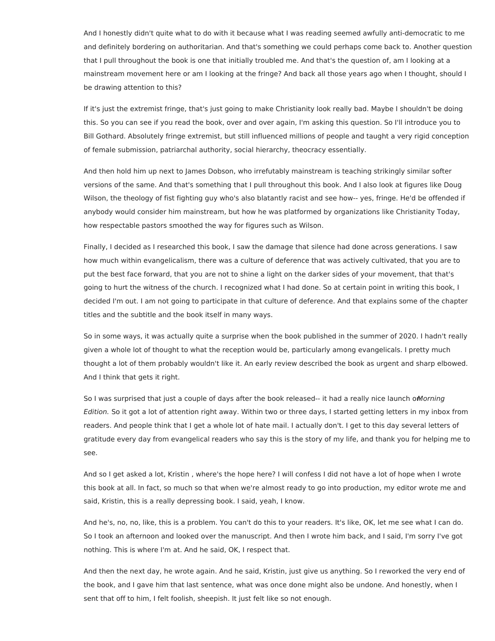And I honestly didn't quite what to do with it because what I was reading seemed awfully anti-democratic to me and definitely bordering on authoritarian. And that's something we could perhaps come back to. Another question that I pull throughout the book is one that initially troubled me. And that's the question of, am I looking at a mainstream movement here or am I looking at the fringe? And back all those years ago when I thought, should I be drawing attention to this?

If it's just the extremist fringe, that's just going to make Christianity look really bad. Maybe I shouldn't be doing this. So you can see if you read the book, over and over again, I'm asking this question. So I'll introduce you to Bill Gothard. Absolutely fringe extremist, but still influenced millions of people and taught a very rigid conception of female submission, patriarchal authority, social hierarchy, theocracy essentially.

And then hold him up next to James Dobson, who irrefutably mainstream is teaching strikingly similar softer versions of the same. And that's something that I pull throughout this book. And I also look at figures like Doug Wilson, the theology of fist fighting guy who's also blatantly racist and see how-- yes, fringe. He'd be offended if anybody would consider him mainstream, but how he was platformed by organizations like Christianity Today, how respectable pastors smoothed the way for figures such as Wilson.

Finally, I decided as I researched this book, I saw the damage that silence had done across generations. I saw how much within evangelicalism, there was a culture of deference that was actively cultivated, that you are to put the best face forward, that you are not to shine a light on the darker sides of your movement, that that's going to hurt the witness of the church. I recognized what I had done. So at certain point in writing this book, I decided I'm out. I am not going to participate in that culture of deference. And that explains some of the chapter titles and the subtitle and the book itself in many ways.

So in some ways, it was actually quite a surprise when the book published in the summer of 2020. I hadn't really given a whole lot of thought to what the reception would be, particularly among evangelicals. I pretty much thought a lot of them probably wouldn't like it. An early review described the book as urgent and sharp elbowed. And I think that gets it right.

So I was surprised that just a couple of days after the book released-- it had a really nice launch omorning Edition. So it got a lot of attention right away. Within two or three days, I started getting letters in my inbox from readers. And people think that I get a whole lot of hate mail. I actually don't. I get to this day several letters of gratitude every day from evangelical readers who say this is the story of my life, and thank you for helping me to see.

And so I get asked a lot, Kristin , where's the hope here? I will confess I did not have a lot of hope when I wrote this book at all. In fact, so much so that when we're almost ready to go into production, my editor wrote me and said, Kristin, this is a really depressing book. I said, yeah, I know.

And he's, no, no, like, this is a problem. You can't do this to your readers. It's like, OK, let me see what I can do. So I took an afternoon and looked over the manuscript. And then I wrote him back, and I said, I'm sorry I've got nothing. This is where I'm at. And he said, OK, I respect that.

And then the next day, he wrote again. And he said, Kristin, just give us anything. So I reworked the very end of the book, and I gave him that last sentence, what was once done might also be undone. And honestly, when I sent that off to him, I felt foolish, sheepish. It just felt like so not enough.